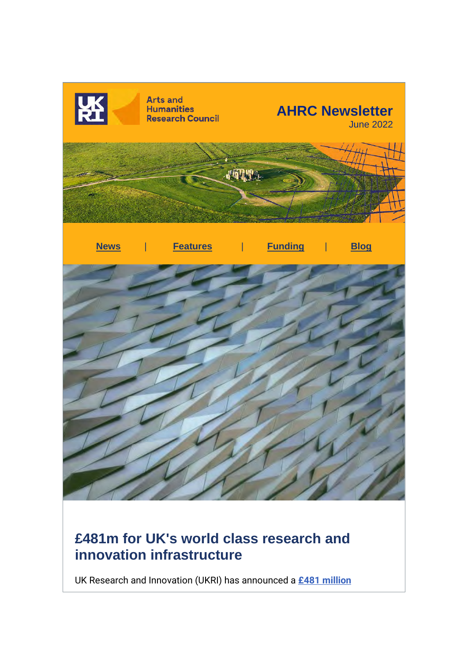

# **£481m for UK's world class research and innovation infrastructure**

UK Research and Innovation (UKRI) has announced a **[£481 million](https://r20.rs6.net/tn.jsp?f=001QdRPMWgUZmnYHq9qUXxYYp43shE44s_RcyGgkpG9Bic84FBr90Z-F5aTEWO0-nKKk_cul8yS_j6iS1NYTEuvAkT_CumU9dUnocTITmPOIcFlUGr6_tosDqK_s7P9TmXTKdIFl3poDfN-voqfE1ly1-NcvzX5SWW6PZfNW-0wQQmD-EREYYAfHkTCZNoE-RZGfcyxFUrrvgfWU34WUwyjDxQPiohakiNwgbvUB6Nlp3Q=&c=aC9m_QbgC1-Z1SomR5mUzumQVgsDq2gMrJfUYFIdIVcFCviznz5WYQ==&ch=xlgSK_RMWn8lVGqNps0WUvvSALDpc5rem6OPGzqdI9rKywrVuLiTvw==)**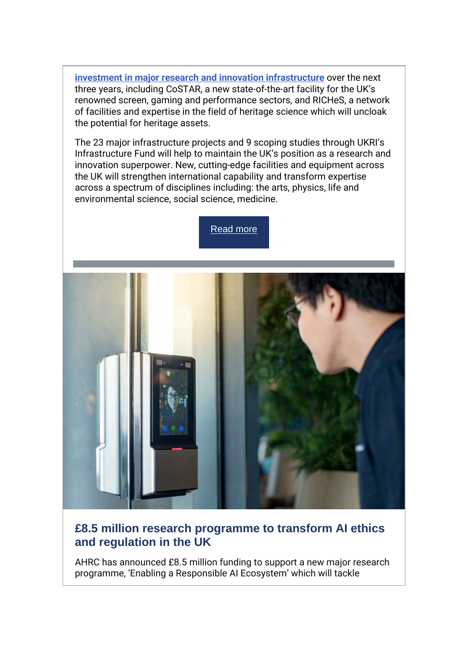**[investment in major research and innovation infrastructure](https://r20.rs6.net/tn.jsp?f=001QdRPMWgUZmnYHq9qUXxYYp43shE44s_RcyGgkpG9Bic84FBr90Z-F5aTEWO0-nKKk_cul8yS_j6iS1NYTEuvAkT_CumU9dUnocTITmPOIcFlUGr6_tosDqK_s7P9TmXTKdIFl3poDfN-voqfE1ly1-NcvzX5SWW6PZfNW-0wQQmD-EREYYAfHkTCZNoE-RZGfcyxFUrrvgfWU34WUwyjDxQPiohakiNwgbvUB6Nlp3Q=&c=aC9m_QbgC1-Z1SomR5mUzumQVgsDq2gMrJfUYFIdIVcFCviznz5WYQ==&ch=xlgSK_RMWn8lVGqNps0WUvvSALDpc5rem6OPGzqdI9rKywrVuLiTvw==)** over the next three years, including CoSTAR, a new state-of-the-art facility for the UK's renowned screen, gaming and performance sectors, and RICHeS, a network of facilities and expertise in the field of heritage science which will uncloak the potential for heritage assets.

The 23 major infrastructure projects and 9 scoping studies through UKRI's Infrastructure Fund will help to maintain the UK's position as a research and innovation superpower. New, cutting-edge facilities and equipment across the UK will strengthen international capability and transform expertise across a spectrum of disciplines including: the arts, physics, life and environmental science, social science, medicine.





## **£8.5 million research programme to transform AI ethics and regulation in the UK**

AHRC has announced £8.5 million funding to support a new major research programme, 'Enabling a Responsible AI Ecosystem' which will tackle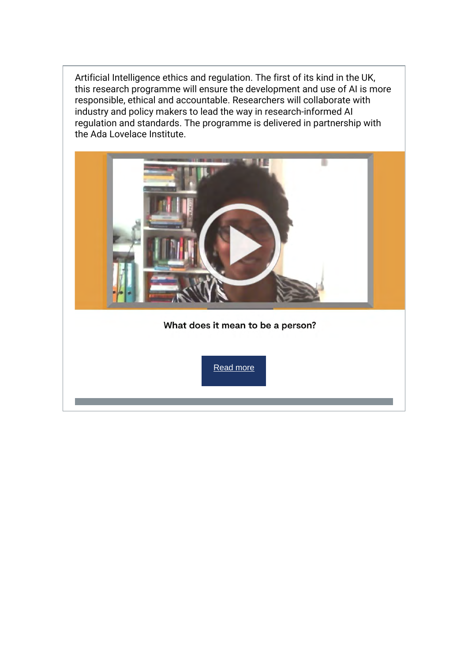Artificial Intelligence ethics and regulation. The first of its kind in the UK, this research programme will ensure the development and use of AI is more responsible, ethical and accountable. Researchers will collaborate with industry and policy makers to lead the way in research-informed AI regulation and standards. The programme is delivered in partnership with the Ada Lovelace Institute.

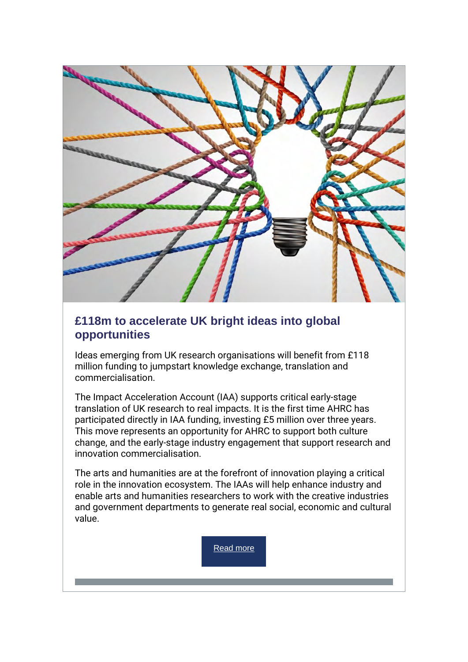

## **£118m to accelerate UK bright ideas into global opportunities**

Ideas emerging from UK research organisations will benefit from £118 million funding to jumpstart knowledge exchange, translation and commercialisation.

The Impact Acceleration Account (IAA) supports critical early-stage translation of UK research to real impacts. It is the first time AHRC has participated directly in IAA funding, investing £5 million over three years. This move represents an opportunity for AHRC to support both culture change, and the early-stage industry engagement that support research and innovation commercialisation.

The arts and humanities are at the forefront of innovation playing a critical role in the innovation ecosystem. The IAAs will help enhance industry and enable arts and humanities researchers to work with the creative industries and government departments to generate real social, economic and cultural value.

[Read more](https://r20.rs6.net/tn.jsp?f=001QdRPMWgUZmnYHq9qUXxYYp43shE44s_RcyGgkpG9Bic84FBr90Z-F5aTEWO0-nKKDlHfrDWIU_Nbj-MTys3Oq_NXYWGz4jBaezvAVzDn2gFPBrT73BOvVbc63u4emHG5qPMsr2WbgfFiDuOXIJbkwrp8Y0IAKpuKiH2qgCNNUipgXgc54WV-Ua367Zgs-rvPaQU81eGRxbdyEPPnsVRSEjikWVQ0_VSoksHsjkOTiaw=&c=aC9m_QbgC1-Z1SomR5mUzumQVgsDq2gMrJfUYFIdIVcFCviznz5WYQ==&ch=xlgSK_RMWn8lVGqNps0WUvvSALDpc5rem6OPGzqdI9rKywrVuLiTvw==)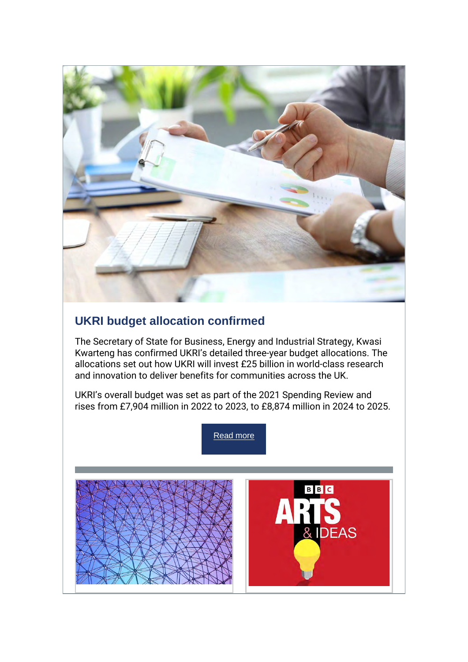

# **UKRI budget allocation confirmed**

The Secretary of State for Business, Energy and Industrial Strategy, Kwasi Kwarteng has confirmed UKRI's detailed three-year budget allocations. The allocations set out how UKRI will invest £25 billion in world-class research and innovation to deliver benefits for communities across the UK.

UKRI's overall budget was set as part of the 2021 Spending Review and rises from £7,904 million in 2022 to 2023, to £8,874 million in 2024 to 2025.

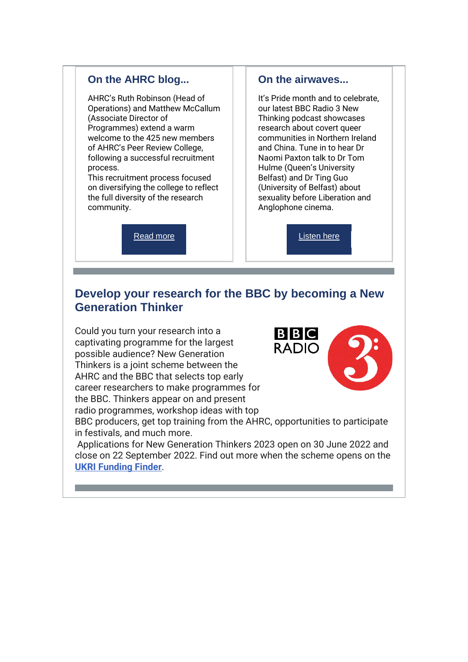### **On the AHRC blog...**

AHRC's Ruth Robinson (Head of Operations) and Matthew McCallum (Associate Director of Programmes) extend a warm welcome to the 425 new members of AHRC's Peer Review College, following a successful recruitment process.

This recruitment process focused on diversifying the college to reflect the full diversity of the research community.

[Read more](https://r20.rs6.net/tn.jsp?f=001QdRPMWgUZmnYHq9qUXxYYp43shE44s_RcyGgkpG9Bic84FBr90Z-F5aTEWO0-nKKGorH5eySM4_ewd9ftO9IBn7aS5WwsPfhkJK_m8mqy9XRppcR3qsmdNlRqQXwXpUxHXjcecwGUMuAplZ0cBsHVM89k2QCOb3WWlMPlcHzfqAtuRjr4daZaTN814VvnybbazrrR0Ec4F1aPw5MlsDokydYOPo7HpXo&c=aC9m_QbgC1-Z1SomR5mUzumQVgsDq2gMrJfUYFIdIVcFCviznz5WYQ==&ch=xlgSK_RMWn8lVGqNps0WUvvSALDpc5rem6OPGzqdI9rKywrVuLiTvw==)

#### **On the airwaves...**

It's Pride month and to celebrate, our latest BBC Radio 3 New Thinking podcast showcases research about covert queer communities in Northern Ireland and China. Tune in to hear Dr Naomi Paxton talk to Dr Tom Hulme (Queen's University Belfast) and Dr Ting Guo (University of Belfast) about sexuality before Liberation and Anglophone cinema.

[Listen here](https://r20.rs6.net/tn.jsp?f=001QdRPMWgUZmnYHq9qUXxYYp43shE44s_RcyGgkpG9Bic84FBr90Z-F5aTEWO0-nKKpgVP8Tath4zIcwSYAVW6lfvSn253KECHRXIVUmm8Cjd-qBpB9gtMOAw5cMkU_wUBiMIBPMyhpqaMB11pewvkCmkAJ7VHY_iK9zIbuDLoTbY=&c=aC9m_QbgC1-Z1SomR5mUzumQVgsDq2gMrJfUYFIdIVcFCviznz5WYQ==&ch=xlgSK_RMWn8lVGqNps0WUvvSALDpc5rem6OPGzqdI9rKywrVuLiTvw==)

## **Develop your research for the BBC by becoming a New Generation Thinker**

Could you turn your research into a captivating programme for the largest possible audience? New Generation Thinkers is a joint scheme between the AHRC and the BBC that selects top early career researchers to make programmes for the BBC. Thinkers appear on and present radio programmes, workshop ideas with top



BBC producers, get top training from the AHRC, opportunities to participate in festivals, and much more.

Applications for New Generation Thinkers 2023 open on 30 June 2022 and close on 22 September 2022. Find out more when the scheme opens on the **[UKRI Funding Finder](https://r20.rs6.net/tn.jsp?f=001QdRPMWgUZmnYHq9qUXxYYp43shE44s_RcyGgkpG9Bic84FBr90Z-F5aTEWO0-nKKE8UcLAthv6BUwj63MedWPeKo2OQ6eIubvHzD7OhttHUQygfgNJfMwxx4ATVYlVmGRB6InXW-UVBcoghecE_JZx9vBQCJrfmb&c=aC9m_QbgC1-Z1SomR5mUzumQVgsDq2gMrJfUYFIdIVcFCviznz5WYQ==&ch=xlgSK_RMWn8lVGqNps0WUvvSALDpc5rem6OPGzqdI9rKywrVuLiTvw==)**.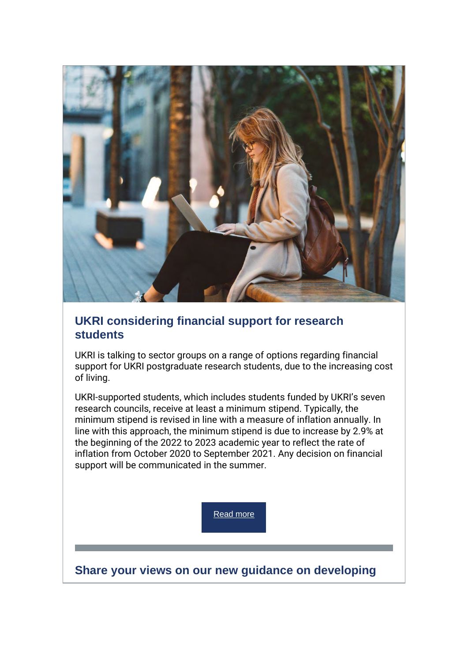

## **UKRI considering financial support for research students**

UKRI is talking to sector groups on a range of options regarding financial support for UKRI postgraduate research students, due to the increasing cost of living.

UKRI-supported students, which includes students funded by UKRI's seven research councils, receive at least a minimum stipend. Typically, the minimum stipend is revised in line with a measure of inflation annually. In line with this approach, the minimum stipend is due to increase by 2.9% at the beginning of the 2022 to 2023 academic year to reflect the rate of inflation from October 2020 to September 2021. Any decision on financial support will be communicated in the summer.

[Read more](https://r20.rs6.net/tn.jsp?f=001QdRPMWgUZmnYHq9qUXxYYp43shE44s_RcyGgkpG9Bic84FBr90Z-F5aTEWO0-nKKHIIvYuwNTSuCLqsnL4h2eXchNODEtkN4X8_qIwbwYIsNKiYKkalRcGxDmlkiZn5cfV-fkNVNaQnIBqOVuC5vTzSIM0Bm3Bm4agb_BaEQu9gG27BPXFBRLRyiK2RYx7OgGF-Vh_WnNo-NaJi5v6l_E1_Ln8-uhvlhpgYojJykiBs=&c=aC9m_QbgC1-Z1SomR5mUzumQVgsDq2gMrJfUYFIdIVcFCviznz5WYQ==&ch=xlgSK_RMWn8lVGqNps0WUvvSALDpc5rem6OPGzqdI9rKywrVuLiTvw==)

**Share your views on our new guidance on developing**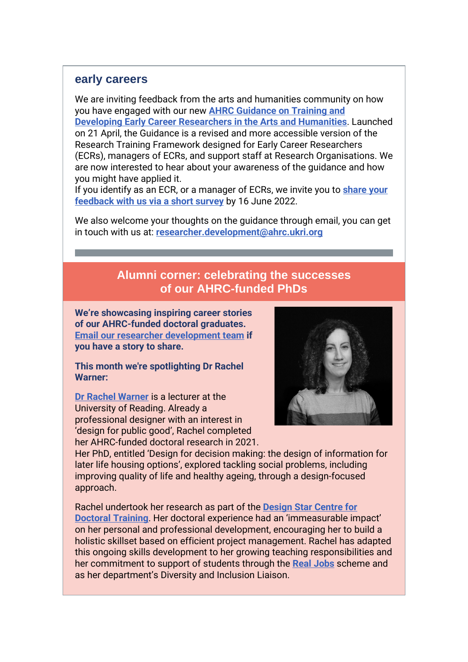### **early careers**

We are inviting feedback from the arts and humanities community on how you have engaged with our new **[AHRC Guidance on Training and](https://r20.rs6.net/tn.jsp?f=001QdRPMWgUZmnYHq9qUXxYYp43shE44s_RcyGgkpG9Bic84FBr90Z-F5aTEWO0-nKKtiXFBxxCCR5QVQNlLeTIkgh7kvRXZhqzcBO6u_xG1YV5izaj0W9nPlibB7r8JzQmn4H7eM2qwTPZQOuNgaewRPLabCfLb3v7GOenv94bWbgcbJMzoKj77q7TXLPT_a7PQrwMdgswwcIKwybgVfsEiWJ0NvJjftGgqlM7kBCLgxqzhigdpcw8cmMLJyR8WL-kkgXuQY3jAkRu9kqifMgjgdYx8ri-jkiquP7MA8-9Ui8naPtq6jiktRQQxvnL6CXFORGxetmss5t0AT2DZDtX1QgtOgFLaRcMr-s9pKfJqVEsNt8QHGV4N-_UIHh_gCglKe8Y-MHhWVnUn5G3HwAqUth9Js-dufFY2i4YPoHu7WkihrAvuIOQ6hCvucRAlh_Wf5qqOzr59vDU1i8v_R3CaBiiDNgoNG2QMaD1Aq0PDX5NxsCM7GazqFfnxUajQQwFvRlMT_cR2ES9GZrOZb5kD4yKnA-s72eHuDCg7sd4abzHkbZ2_48abgZhp8QhycF8nhDRWi1G0UZWsjFqioMYMnkltIdkz1mq5vDZ4Y0tAESTJWKrhBOn6SrVq9LPk5sc_e3bI_eMW5_5j3Ez_cxttmP6XpOLhLtQO-SGSGZX8mBE3ujaBJvFwI9qOhxkq8SIzfxb04Zej-y12Sj2ysH8q_vhBVlc2cRot7v1UACXEcO4e3QSGcUQ-nTuQ6zLGYgVi2QZ73KCwcrrdU7EwocskQUC-3nNoAgwAESYPBfpYKKJCUI6DWQY1roEREeHh2l9X1DyXHYjFQY2SBo3JgiSrtCkr054B-xxIRE_h5SlptI=&c=aC9m_QbgC1-Z1SomR5mUzumQVgsDq2gMrJfUYFIdIVcFCviznz5WYQ==&ch=xlgSK_RMWn8lVGqNps0WUvvSALDpc5rem6OPGzqdI9rKywrVuLiTvw==)  [Developing Early Career Researchers in the Arts and Humanities](https://r20.rs6.net/tn.jsp?f=001QdRPMWgUZmnYHq9qUXxYYp43shE44s_RcyGgkpG9Bic84FBr90Z-F5aTEWO0-nKKtiXFBxxCCR5QVQNlLeTIkgh7kvRXZhqzcBO6u_xG1YV5izaj0W9nPlibB7r8JzQmn4H7eM2qwTPZQOuNgaewRPLabCfLb3v7GOenv94bWbgcbJMzoKj77q7TXLPT_a7PQrwMdgswwcIKwybgVfsEiWJ0NvJjftGgqlM7kBCLgxqzhigdpcw8cmMLJyR8WL-kkgXuQY3jAkRu9kqifMgjgdYx8ri-jkiquP7MA8-9Ui8naPtq6jiktRQQxvnL6CXFORGxetmss5t0AT2DZDtX1QgtOgFLaRcMr-s9pKfJqVEsNt8QHGV4N-_UIHh_gCglKe8Y-MHhWVnUn5G3HwAqUth9Js-dufFY2i4YPoHu7WkihrAvuIOQ6hCvucRAlh_Wf5qqOzr59vDU1i8v_R3CaBiiDNgoNG2QMaD1Aq0PDX5NxsCM7GazqFfnxUajQQwFvRlMT_cR2ES9GZrOZb5kD4yKnA-s72eHuDCg7sd4abzHkbZ2_48abgZhp8QhycF8nhDRWi1G0UZWsjFqioMYMnkltIdkz1mq5vDZ4Y0tAESTJWKrhBOn6SrVq9LPk5sc_e3bI_eMW5_5j3Ez_cxttmP6XpOLhLtQO-SGSGZX8mBE3ujaBJvFwI9qOhxkq8SIzfxb04Zej-y12Sj2ysH8q_vhBVlc2cRot7v1UACXEcO4e3QSGcUQ-nTuQ6zLGYgVi2QZ73KCwcrrdU7EwocskQUC-3nNoAgwAESYPBfpYKKJCUI6DWQY1roEREeHh2l9X1DyXHYjFQY2SBo3JgiSrtCkr054B-xxIRE_h5SlptI=&c=aC9m_QbgC1-Z1SomR5mUzumQVgsDq2gMrJfUYFIdIVcFCviznz5WYQ==&ch=xlgSK_RMWn8lVGqNps0WUvvSALDpc5rem6OPGzqdI9rKywrVuLiTvw==)**. Launched on 21 April, the Guidance is a revised and more accessible version of the Research Training Framework designed for Early Career Researchers (ECRs), managers of ECRs, and support staff at Research Organisations. We are now interested to hear about your awareness of the guidance and how you might have applied it.

If you identify as an ECR, or a manager of ECRs, we invite you to **[share your](https://r20.rs6.net/tn.jsp?f=001QdRPMWgUZmnYHq9qUXxYYp43shE44s_RcyGgkpG9Bic84FBr90Z-F5aTEWO0-nKKlzzy3hbC_3rda72FJkO13Fy8uBG5hseU3UPasvIfYCkPowBoX2pBSDy3wxuD8_wTlxJc-dVAQlZKl0NjxrfhazGYNwgGenQI2ImZzkMBp204YYb4lKwgYg==&c=aC9m_QbgC1-Z1SomR5mUzumQVgsDq2gMrJfUYFIdIVcFCviznz5WYQ==&ch=xlgSK_RMWn8lVGqNps0WUvvSALDpc5rem6OPGzqdI9rKywrVuLiTvw==)  [feedback with us via a short survey](https://r20.rs6.net/tn.jsp?f=001QdRPMWgUZmnYHq9qUXxYYp43shE44s_RcyGgkpG9Bic84FBr90Z-F5aTEWO0-nKKlzzy3hbC_3rda72FJkO13Fy8uBG5hseU3UPasvIfYCkPowBoX2pBSDy3wxuD8_wTlxJc-dVAQlZKl0NjxrfhazGYNwgGenQI2ImZzkMBp204YYb4lKwgYg==&c=aC9m_QbgC1-Z1SomR5mUzumQVgsDq2gMrJfUYFIdIVcFCviznz5WYQ==&ch=xlgSK_RMWn8lVGqNps0WUvvSALDpc5rem6OPGzqdI9rKywrVuLiTvw==)** by 16 June 2022.

We also welcome your thoughts on the guidance through email, you can get in touch with us at: **[researcher.development@ahrc.ukri.org](mailto:researcher.development@ahrc.ukri.org)**

# **Alumni corner: celebrating the successes of our AHRC-funded PhDs**

**We're showcasing inspiring career stories of our AHRC-funded doctoral graduates. [Email our researcher development team](mailto:researcher.development@ahrc.ukri.org) if you have a story to share.** 

**This month we're spotlighting Dr Rachel Warner:**

**[Dr Rachel Warner](https://r20.rs6.net/tn.jsp?f=001QdRPMWgUZmnYHq9qUXxYYp43shE44s_RcyGgkpG9Bic84FBr90Z-F5aTEWO0-nKKSjhjSXOUMASMA3d3odK7s07K3mQAajPlQCttehejtt5I84npIxb-LxdVPn7g4c536sSEEaQ0r6-nNt3BcH4Fa3OmIogH9RQQW-rxgAFqhsHPFp2TCs2tdDwgT53nO8mFViMoOU5p_Gs=&c=aC9m_QbgC1-Z1SomR5mUzumQVgsDq2gMrJfUYFIdIVcFCviznz5WYQ==&ch=xlgSK_RMWn8lVGqNps0WUvvSALDpc5rem6OPGzqdI9rKywrVuLiTvw==)** is a lecturer at the University of Reading. Already a professional designer with an interest in 'design for public good', Rachel completed her AHRC-funded doctoral research in 2021.



Her PhD, entitled 'Design for decision making: the design of information for later life housing options', explored tackling social problems, including improving quality of life and healthy ageing, through a design-focused approach.

Rachel undertook her research as part of the **[Design Star Centre for](https://r20.rs6.net/tn.jsp?f=001QdRPMWgUZmnYHq9qUXxYYp43shE44s_RcyGgkpG9Bic84FBr90Z-F5aTEWO0-nKKUkvjYw5CRkIZQKAs3tKQBBdsRHELFyjbdkFNCIcHeue34xQ8GUHfOzh1ZDJRJikwu_a4R_JQdB4-LNzIW4Uvgg==&c=aC9m_QbgC1-Z1SomR5mUzumQVgsDq2gMrJfUYFIdIVcFCviznz5WYQ==&ch=xlgSK_RMWn8lVGqNps0WUvvSALDpc5rem6OPGzqdI9rKywrVuLiTvw==)  [Doctoral Training](https://r20.rs6.net/tn.jsp?f=001QdRPMWgUZmnYHq9qUXxYYp43shE44s_RcyGgkpG9Bic84FBr90Z-F5aTEWO0-nKKUkvjYw5CRkIZQKAs3tKQBBdsRHELFyjbdkFNCIcHeue34xQ8GUHfOzh1ZDJRJikwu_a4R_JQdB4-LNzIW4Uvgg==&c=aC9m_QbgC1-Z1SomR5mUzumQVgsDq2gMrJfUYFIdIVcFCviznz5WYQ==&ch=xlgSK_RMWn8lVGqNps0WUvvSALDpc5rem6OPGzqdI9rKywrVuLiTvw==)**. Her doctoral experience had an 'immeasurable impact' on her personal and professional development, encouraging her to build a holistic skillset based on efficient project management. Rachel has adapted this ongoing skills development to her growing teaching responsibilities and her commitment to support of students through the **[Real Jobs](https://r20.rs6.net/tn.jsp?f=001QdRPMWgUZmnYHq9qUXxYYp43shE44s_RcyGgkpG9Bic84FBr90Z-F5aTEWO0-nKKwUQMkKmB3IRnsiJOe0LZfeBX6PWEXzZSV1Jb8A43-nfsbcQvs8WES_cfby1v073lWt7xD5Zap1JefUjhPqAT8pTo5PfJ6T8f4Ej7Fh_rgf0=&c=aC9m_QbgC1-Z1SomR5mUzumQVgsDq2gMrJfUYFIdIVcFCviznz5WYQ==&ch=xlgSK_RMWn8lVGqNps0WUvvSALDpc5rem6OPGzqdI9rKywrVuLiTvw==)** scheme and as her department's Diversity and Inclusion Liaison.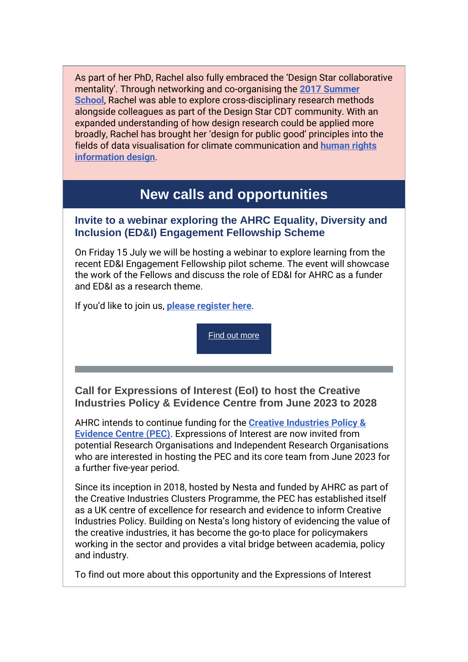As part of her PhD, Rachel also fully embraced the 'Design Star collaborative mentality'. Through networking and co-organising the **[2017 Summer](https://r20.rs6.net/tn.jsp?f=001QdRPMWgUZmnYHq9qUXxYYp43shE44s_RcyGgkpG9Bic84FBr90Z-F5aTEWO0-nKKoFs26nmPx8gHmkGOiD0IYYXgJzMi2swOPKoqxSVCcQCw_nzKc5X0re7cmO1Z0q8nDnUvgx4cuWJgwDeGXdPTPABMZyeCzby54x_TDub-xFM=&c=aC9m_QbgC1-Z1SomR5mUzumQVgsDq2gMrJfUYFIdIVcFCviznz5WYQ==&ch=xlgSK_RMWn8lVGqNps0WUvvSALDpc5rem6OPGzqdI9rKywrVuLiTvw==)  [School](https://r20.rs6.net/tn.jsp?f=001QdRPMWgUZmnYHq9qUXxYYp43shE44s_RcyGgkpG9Bic84FBr90Z-F5aTEWO0-nKKoFs26nmPx8gHmkGOiD0IYYXgJzMi2swOPKoqxSVCcQCw_nzKc5X0re7cmO1Z0q8nDnUvgx4cuWJgwDeGXdPTPABMZyeCzby54x_TDub-xFM=&c=aC9m_QbgC1-Z1SomR5mUzumQVgsDq2gMrJfUYFIdIVcFCviznz5WYQ==&ch=xlgSK_RMWn8lVGqNps0WUvvSALDpc5rem6OPGzqdI9rKywrVuLiTvw==)**, Rachel was able to explore cross-disciplinary research methods alongside colleagues as part of the Design Star CDT community. With an expanded understanding of how design research could be applied more broadly, Rachel has brought her 'design for public good' principles into the fields of data visualisation for climate communication and **[human rights](https://r20.rs6.net/tn.jsp?f=001QdRPMWgUZmnYHq9qUXxYYp43shE44s_RcyGgkpG9Bic84FBr90Z-F5aTEWO0-nKKOMtOrJlpT-ZGhP__Ftun44NOi3vODK3M3ZUeQIfi-1QIuPkAV88SGzSvLowkyYuk2cU-sn7IAo2nolarYOtjYuSHxaCjwT460tE6OB1Thu6zil_tHQoOq-jSPcmvAZQIyjEVqEnz3E5XUuN4AhPwvukU2bv1fQX6fOIcYkOpKyGbz4ZEERYCF2CGt2mqP_l8AJSgUroml83i2LwMkyQUtzXr_kk4fk4tRbcMEfZioS0=&c=aC9m_QbgC1-Z1SomR5mUzumQVgsDq2gMrJfUYFIdIVcFCviznz5WYQ==&ch=xlgSK_RMWn8lVGqNps0WUvvSALDpc5rem6OPGzqdI9rKywrVuLiTvw==)  [information design](https://r20.rs6.net/tn.jsp?f=001QdRPMWgUZmnYHq9qUXxYYp43shE44s_RcyGgkpG9Bic84FBr90Z-F5aTEWO0-nKKOMtOrJlpT-ZGhP__Ftun44NOi3vODK3M3ZUeQIfi-1QIuPkAV88SGzSvLowkyYuk2cU-sn7IAo2nolarYOtjYuSHxaCjwT460tE6OB1Thu6zil_tHQoOq-jSPcmvAZQIyjEVqEnz3E5XUuN4AhPwvukU2bv1fQX6fOIcYkOpKyGbz4ZEERYCF2CGt2mqP_l8AJSgUroml83i2LwMkyQUtzXr_kk4fk4tRbcMEfZioS0=&c=aC9m_QbgC1-Z1SomR5mUzumQVgsDq2gMrJfUYFIdIVcFCviznz5WYQ==&ch=xlgSK_RMWn8lVGqNps0WUvvSALDpc5rem6OPGzqdI9rKywrVuLiTvw==)**.

# **New calls and opportunities**

### **Invite to a webinar exploring the AHRC Equality, Diversity and Inclusion (ED&I) Engagement Fellowship Scheme**

On Friday 15 July we will be hosting a webinar to explore learning from the recent ED&I Engagement Fellowship pilot scheme. The event will showcase the work of the Fellows and discuss the role of ED&I for AHRC as a funder and ED&I as a research theme.

If you'd like to join us, **[please register here](https://r20.rs6.net/tn.jsp?f=001QdRPMWgUZmnYHq9qUXxYYp43shE44s_RcyGgkpG9Bic84FBr90Z-F5aTEWO0-nKK_UFI9EgLu8tTHmOC6il2PcQetSm2FPwlmP1HgPhYc0XOw1X_E0PB7I_5eEWBFifYRm5lobz4ymukThGSfvlhQvdri77Gh_TKtdV1evYu3HizYFHoHRxmi1KP81mnv4QCe4D1Y2t4xoA=&c=aC9m_QbgC1-Z1SomR5mUzumQVgsDq2gMrJfUYFIdIVcFCviznz5WYQ==&ch=xlgSK_RMWn8lVGqNps0WUvvSALDpc5rem6OPGzqdI9rKywrVuLiTvw==)**.

[Find out](https://r20.rs6.net/tn.jsp?f=001QdRPMWgUZmnYHq9qUXxYYp43shE44s_RcyGgkpG9Bic84FBr90Z-F5aTEWO0-nKK_UFI9EgLu8tTHmOC6il2PcQetSm2FPwlmP1HgPhYc0XOw1X_E0PB7I_5eEWBFifYRm5lobz4ymukThGSfvlhQvdri77Gh_TKtdV1evYu3HizYFHoHRxmi1KP81mnv4QCe4D1Y2t4xoA=&c=aC9m_QbgC1-Z1SomR5mUzumQVgsDq2gMrJfUYFIdIVcFCviznz5WYQ==&ch=xlgSK_RMWn8lVGqNps0WUvvSALDpc5rem6OPGzqdI9rKywrVuLiTvw==) more

**Call for Expressions of Interest (EoI) to host the Creative Industries Policy & Evidence Centre from June 2023 to 2028**

AHRC intends to continue funding for the **[Creative Industries Policy &](https://r20.rs6.net/tn.jsp?f=001QdRPMWgUZmnYHq9qUXxYYp43shE44s_RcyGgkpG9Bic84FBr90Z-F5aTEWO0-nKKwsX-hETS8wy7LpuN1hUwdc0nQdlaz6vcFIuwFdxw8KlISM02YSMxJdNyL4i_Ojkyc-CJI2g75zo=&c=aC9m_QbgC1-Z1SomR5mUzumQVgsDq2gMrJfUYFIdIVcFCviznz5WYQ==&ch=xlgSK_RMWn8lVGqNps0WUvvSALDpc5rem6OPGzqdI9rKywrVuLiTvw==)  [Evidence Centre \(PEC\)](https://r20.rs6.net/tn.jsp?f=001QdRPMWgUZmnYHq9qUXxYYp43shE44s_RcyGgkpG9Bic84FBr90Z-F5aTEWO0-nKKwsX-hETS8wy7LpuN1hUwdc0nQdlaz6vcFIuwFdxw8KlISM02YSMxJdNyL4i_Ojkyc-CJI2g75zo=&c=aC9m_QbgC1-Z1SomR5mUzumQVgsDq2gMrJfUYFIdIVcFCviznz5WYQ==&ch=xlgSK_RMWn8lVGqNps0WUvvSALDpc5rem6OPGzqdI9rKywrVuLiTvw==)**. Expressions of Interest are now invited from potential Research Organisations and Independent Research Organisations who are interested in hosting the PEC and its core team from June 2023 for a further five-year period.

Since its inception in 2018, hosted by Nesta and funded by AHRC as part of the Creative Industries Clusters Programme, the PEC has established itself as a UK centre of excellence for research and evidence to inform Creative Industries Policy. Building on Nesta's long history of evidencing the value of the creative industries, it has become the go-to place for policymakers working in the sector and provides a vital bridge between academia, policy and industry.

To find out more about this opportunity and the Expressions of Interest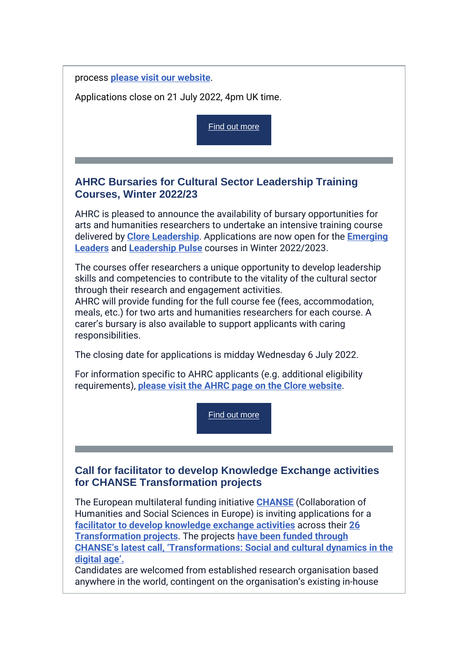#### process **[please visit our website](https://r20.rs6.net/tn.jsp?f=001QdRPMWgUZmnYHq9qUXxYYp43shE44s_RcyGgkpG9Bic84FBr90Z-F5aTEWO0-nKKe1gLKov1Ali0dNQKiVBC0IPUGADJOk0AelCCd-5xebTI_8sR67KJhpQi3OG7rHZSI-Cy_j30jQ-Y8YiN-8UtJMD0ElBgxjnKouYBvIH_Ow-Yh9B9dwigxaXy3XyhNhFn30_kE4pSiDC4fA4FMqqsu3rnL8Ce7Zr9x-If1hWi7JvNAJ9Nah8kCNXWrgtKKtcm&c=aC9m_QbgC1-Z1SomR5mUzumQVgsDq2gMrJfUYFIdIVcFCviznz5WYQ==&ch=xlgSK_RMWn8lVGqNps0WUvvSALDpc5rem6OPGzqdI9rKywrVuLiTvw==)**.

Applications close on 21 July 2022, 4pm UK time.

[Find out more](https://r20.rs6.net/tn.jsp?f=001QdRPMWgUZmnYHq9qUXxYYp43shE44s_RcyGgkpG9Bic84FBr90Z-F5aTEWO0-nKKe1gLKov1Ali0dNQKiVBC0IPUGADJOk0AelCCd-5xebTI_8sR67KJhpQi3OG7rHZSI-Cy_j30jQ-Y8YiN-8UtJMD0ElBgxjnKouYBvIH_Ow-Yh9B9dwigxaXy3XyhNhFn30_kE4pSiDC4fA4FMqqsu3rnL8Ce7Zr9x-If1hWi7JvNAJ9Nah8kCNXWrgtKKtcm&c=aC9m_QbgC1-Z1SomR5mUzumQVgsDq2gMrJfUYFIdIVcFCviznz5WYQ==&ch=xlgSK_RMWn8lVGqNps0WUvvSALDpc5rem6OPGzqdI9rKywrVuLiTvw==)

### **AHRC Bursaries for Cultural Sector Leadership Training Courses, Winter 2022/23**

AHRC is pleased to announce the availability of bursary opportunities for arts and humanities researchers to undertake an intensive training course delivered by **[Clore Leadership](https://r20.rs6.net/tn.jsp?f=001QdRPMWgUZmnYHq9qUXxYYp43shE44s_RcyGgkpG9Bic84FBr90Z-F5aTEWO0-nKKeOV3h3cPB_h6xdbJerySUfYklum3SXdIq_e_OEMibJly938Swo0To9f3KALipvYYVcKsbtCHc-m4r131Exs0yit9DeHEUERH&c=aC9m_QbgC1-Z1SomR5mUzumQVgsDq2gMrJfUYFIdIVcFCviznz5WYQ==&ch=xlgSK_RMWn8lVGqNps0WUvvSALDpc5rem6OPGzqdI9rKywrVuLiTvw==)**. Applications are now open for the **[Emerging](https://r20.rs6.net/tn.jsp?f=001QdRPMWgUZmnYHq9qUXxYYp43shE44s_RcyGgkpG9Bic84FBr90Z-F5aTEWO0-nKKNrt-wGacqd15DBbCxORmrX2xl1j0uHrRFAz-O7pY54pi1rGFPEu9V8BOa9W1W20i9z-Lb7kN6tZp6-pYkyh2v8vkrEV0YNvMFft-hCplBD2W59zLZ7p9UvQcE5V9IxgQys2kFgdoEG7hfoDoomf7qnf8jWUbbEynrmvkSBp4JI469uZTKNx2sP4XzGV7GkuT3tMpCagF0R0SnVCL1HZ8IMOOAAePGMz6&c=aC9m_QbgC1-Z1SomR5mUzumQVgsDq2gMrJfUYFIdIVcFCviznz5WYQ==&ch=xlgSK_RMWn8lVGqNps0WUvvSALDpc5rem6OPGzqdI9rKywrVuLiTvw==)  [Leaders](https://r20.rs6.net/tn.jsp?f=001QdRPMWgUZmnYHq9qUXxYYp43shE44s_RcyGgkpG9Bic84FBr90Z-F5aTEWO0-nKKNrt-wGacqd15DBbCxORmrX2xl1j0uHrRFAz-O7pY54pi1rGFPEu9V8BOa9W1W20i9z-Lb7kN6tZp6-pYkyh2v8vkrEV0YNvMFft-hCplBD2W59zLZ7p9UvQcE5V9IxgQys2kFgdoEG7hfoDoomf7qnf8jWUbbEynrmvkSBp4JI469uZTKNx2sP4XzGV7GkuT3tMpCagF0R0SnVCL1HZ8IMOOAAePGMz6&c=aC9m_QbgC1-Z1SomR5mUzumQVgsDq2gMrJfUYFIdIVcFCviznz5WYQ==&ch=xlgSK_RMWn8lVGqNps0WUvvSALDpc5rem6OPGzqdI9rKywrVuLiTvw==)** and **[Leadership Pulse](https://r20.rs6.net/tn.jsp?f=001QdRPMWgUZmnYHq9qUXxYYp43shE44s_RcyGgkpG9Bic84FBr90Z-F5aTEWO0-nKK5ch-RvdjDBWBf5Y4t-OYj4Uv-kRwM6SHFx9VCt74eZJJmb32ulB910xvz6hoVVnxzYkGE05sfP2tOJxo1pT7p2QzI63UOXEs9peujahjkl9vPz1t4e0WuGgAvzR9RspJ_X47Jm4CZMVWj99JEBzF_BuopNp7NBSqQ19k9Xw8CbDz-5A4SH6W5UVNip1G9FmLSbaxcg41v7-wyghbIsTk_Yf0LkNjb3Lj&c=aC9m_QbgC1-Z1SomR5mUzumQVgsDq2gMrJfUYFIdIVcFCviznz5WYQ==&ch=xlgSK_RMWn8lVGqNps0WUvvSALDpc5rem6OPGzqdI9rKywrVuLiTvw==)** courses in Winter 2022/2023.

The courses offer researchers a unique opportunity to develop leadership skills and competencies to contribute to the vitality of the cultural sector through their research and engagement activities.

AHRC will provide funding for the full course fee (fees, accommodation, meals, etc.) for two arts and humanities researchers for each course. A carer's bursary is also available to support applicants with caring responsibilities.

The closing date for applications is midday Wednesday 6 July 2022.

For information specific to AHRC applicants (e.g. additional eligibility requirements), **[please visit the AHRC page on the Clore website](https://r20.rs6.net/tn.jsp?f=001QdRPMWgUZmnYHq9qUXxYYp43shE44s_RcyGgkpG9Bic84FBr90Z-F5aTEWO0-nKKYSidVRCxwlpYGFgkBbMVwnzN0xGaOKtZ3RuCfdctoHbUq-i557CvAP2y09cyymgdYAXoqAv121qJEP_6Xx2YODbil7U7NdbyRKyRyC8b8BC1wy37sAaGZ3vtAbzBWrR2ktVMtKsoonHgXYj65yIC1g==&c=aC9m_QbgC1-Z1SomR5mUzumQVgsDq2gMrJfUYFIdIVcFCviznz5WYQ==&ch=xlgSK_RMWn8lVGqNps0WUvvSALDpc5rem6OPGzqdI9rKywrVuLiTvw==)**.

[Find out more](https://r20.rs6.net/tn.jsp?f=001QdRPMWgUZmnYHq9qUXxYYp43shE44s_RcyGgkpG9Bic84FBr90Z-F5aTEWO0-nKKYSidVRCxwlpYGFgkBbMVwnzN0xGaOKtZ3RuCfdctoHbUq-i557CvAP2y09cyymgdYAXoqAv121qJEP_6Xx2YODbil7U7NdbyRKyRyC8b8BC1wy37sAaGZ3vtAbzBWrR2ktVMtKsoonHgXYj65yIC1g==&c=aC9m_QbgC1-Z1SomR5mUzumQVgsDq2gMrJfUYFIdIVcFCviznz5WYQ==&ch=xlgSK_RMWn8lVGqNps0WUvvSALDpc5rem6OPGzqdI9rKywrVuLiTvw==)

### **Call for facilitator to develop Knowledge Exchange activities for CHANSE Transformation projects**

The European multilateral funding initiative **[CHANSE](https://r20.rs6.net/tn.jsp?f=001QdRPMWgUZmnYHq9qUXxYYp43shE44s_RcyGgkpG9Bic84FBr90Z-F5aTEWO0-nKKeauO9cxQfDQ5cLqOHFFu4lw_o_LomSntO_bGmsytrop9Votzji3TMZg4HVa9VOPUDzzIJMVDv4BS8a5VorUf9BAcraDeCTnHHVvJZXUJq-_opB5E4knUFHXT_2UlC6gbZ5D4uyjWrGcw4R-BWSvnqdVUI8XZkbweiIU-Eq3AAcFA5d5s-zf89ArRaLjqsLyQKgNFQXB-Nd8A1zHAHCpn74unED83W4oYN-H9gusy6QgkvK9VualDStwlww6IQD1GiP9iAWBqxBYE05F0zEJhmXXu0AgNnsx5453_V1YY-ngNF0PIl-Op1tGptYdXDQgHn0fQewWoirxMtZkGbKed7GJFCFS97-fcgTvhWN19UJHsKhthSQ3YNjN8Fb2hHG9aogrLJQoQoTq0kzdprsgHgurM4dHRpWlk4-_WZ9gsPGAqNYh6ivCDw2QhPcVyIo8okkadnkQ1Ka5IQEkvIX9yvgVimk3UUIbq5Qwhx7x2_JEtHvtWbbVIxVz57Ithk-SPsxFPrVzdLRkGrmFD-t8281lcRTbeIKejjR_BDRPvVguqpGEZVF4QfskVDD2xp926fBZr63Z55L8CnBmexo2G4IpmxKorfXklm6rk6lHSMPNEw9YmZZHATThD7v8hxZ3ipokln-6VmZ9ZT0ninl4JzcNcf4c4IzMOs1nn38wRuAOYWvzPfqO1Ig==&c=aC9m_QbgC1-Z1SomR5mUzumQVgsDq2gMrJfUYFIdIVcFCviznz5WYQ==&ch=xlgSK_RMWn8lVGqNps0WUvvSALDpc5rem6OPGzqdI9rKywrVuLiTvw==)** (Collaboration of Humanities and Social Sciences in Europe) is inviting applications for a **[facilitator to develop knowledge exchange activities](https://r20.rs6.net/tn.jsp?f=001QdRPMWgUZmnYHq9qUXxYYp43shE44s_RcyGgkpG9Bic84FBr90Z-F5aTEWO0-nKKESpBnidN_QUICPXCRHwKd93VBuMa1BmF1BrHhZI3B0v9sNawFkW0lj_8mg0Djdm1o5o5OxuISOrQw3dxzLmCGTmhHEGyp5ohyecWdwcOVKKF95lSBeJegv-TqdgNufP3AklbRLtS5URIUE841ASZN_-ysTnhu2Gsk0bHsErb2rLd-r_VfDXiiiAYG1CFm_mgE4tqZy3o9ssyM9z8VCQgg6XNUb5_zlBgJ5I8Nre16nE_QllawoYpa-rLxf4B2dSvxtTq6ca8HuNFU25AetjRso7BWcgytr_lhZm4IpLIMRX8la9eK3TbgPk9ZZ6cgXrPtvXKnk1Kt0r7ThTNbC8q20wUn9LbY34DzU4hhxuhilXaqIdoHWRhLmxemRYeLAEy83Zexat78pAJQhLn110DZiLrHi3RcsdpVl5FFxsW5DEzA0Is8C_0qNVANks9pS25DqpovG9zei4Y_XDsDVpvqoOQD4V_mBMOfX_XABCEw0up2uA5x1ASamYdOF0DBwAbjEQX2EbNRTSet51gNaVJohmLuXWIyvf3-VxJrevWPNkDiIXpBqmegPlFtuHEk2HEKR0l1iPNIx5LZFX-XPmYe4w-4bzgDaecXiVKtLVwr8GtJXgh2_Po01TyH28w4dwRSat148Mo1S8F8eEukfMp967fKkWMjnsWepz_QNihAriPALBdM25e4hwaTFuvQ6BURDAKDLcPia3-DKTpVNRpKhwoJkGyle5m7W29hS76w7RDqILt7yV9lq1uFnCWMrfiqGqPOscEfupyMYNvzZt6Zg==&c=aC9m_QbgC1-Z1SomR5mUzumQVgsDq2gMrJfUYFIdIVcFCviznz5WYQ==&ch=xlgSK_RMWn8lVGqNps0WUvvSALDpc5rem6OPGzqdI9rKywrVuLiTvw==)** across their **[26](https://r20.rs6.net/tn.jsp?f=001QdRPMWgUZmnYHq9qUXxYYp43shE44s_RcyGgkpG9Bic84FBr90Z-F5aTEWO0-nKKwqsonvVN5QHbHLpJ4j4ewKmC4JH8DTUvi5zmyEz-6iN5hWaQAv0IWFCRy0RzETExSl7JZ44hNrNrX57UdXsWjejeGSJXxNIB6yRSfKH7tIcK7UEPGcCWgPNzbVEb-fsukQCBlMcIAXTw4fRRv0p94RkngUpS2smSH5Z_QR4gt5QIlsa9kLJ4ERIfgi4je80OQhnOoBn350JVJ10tJXFVm9rO-icMhE2c__H42cB_5hwDZe80UBo7pGSiLm92uLJmEr8w5V-WsW55j-9bS5FQqvpRcIJAE10FLq7lW99gu76doSpriyu9Jl63rZYyHtJh0EeQI2seBT37IBURSxjvjPGmi--N2oBtlXq6pKU4iDQtlcp9-0Yd-My_8ati6OGe24-qy8Ng2n2xX3wrwOK6yUSQbC_tvXduvyKdnmQELRXbLhU9l1UuZAk5aCM7JCoESkpbiKBeJtS3fvs2sMprcWn3JXP0Cq7F7PCwgkVTFmXZeU8yaltuHBaNSaedjOYJLBI-mKjMgs2IXtal087tNkaft0blJeo5ogGztHS4jNrljL-TjkJPctBWLKCHFn8c16PXWNHY5IKO4xx9E5OsSfVMPI_lvVmZWXYRDa5myk7f0e4MuSA91I7V4b9UiYuGusybUvHtrArVCxrUH205H2KosmsLa5Htki3ZUqR7-TPkHc884Cv7rZ80dR4wJhcrgfYSwXHIpUsbF30GAAclcssue3BEgsesfO1ZK4AsFqJRQqCjMzE7OA==&c=aC9m_QbgC1-Z1SomR5mUzumQVgsDq2gMrJfUYFIdIVcFCviznz5WYQ==&ch=xlgSK_RMWn8lVGqNps0WUvvSALDpc5rem6OPGzqdI9rKywrVuLiTvw==)  [Transformation projects](https://r20.rs6.net/tn.jsp?f=001QdRPMWgUZmnYHq9qUXxYYp43shE44s_RcyGgkpG9Bic84FBr90Z-F5aTEWO0-nKKwqsonvVN5QHbHLpJ4j4ewKmC4JH8DTUvi5zmyEz-6iN5hWaQAv0IWFCRy0RzETExSl7JZ44hNrNrX57UdXsWjejeGSJXxNIB6yRSfKH7tIcK7UEPGcCWgPNzbVEb-fsukQCBlMcIAXTw4fRRv0p94RkngUpS2smSH5Z_QR4gt5QIlsa9kLJ4ERIfgi4je80OQhnOoBn350JVJ10tJXFVm9rO-icMhE2c__H42cB_5hwDZe80UBo7pGSiLm92uLJmEr8w5V-WsW55j-9bS5FQqvpRcIJAE10FLq7lW99gu76doSpriyu9Jl63rZYyHtJh0EeQI2seBT37IBURSxjvjPGmi--N2oBtlXq6pKU4iDQtlcp9-0Yd-My_8ati6OGe24-qy8Ng2n2xX3wrwOK6yUSQbC_tvXduvyKdnmQELRXbLhU9l1UuZAk5aCM7JCoESkpbiKBeJtS3fvs2sMprcWn3JXP0Cq7F7PCwgkVTFmXZeU8yaltuHBaNSaedjOYJLBI-mKjMgs2IXtal087tNkaft0blJeo5ogGztHS4jNrljL-TjkJPctBWLKCHFn8c16PXWNHY5IKO4xx9E5OsSfVMPI_lvVmZWXYRDa5myk7f0e4MuSA91I7V4b9UiYuGusybUvHtrArVCxrUH205H2KosmsLa5Htki3ZUqR7-TPkHc884Cv7rZ80dR4wJhcrgfYSwXHIpUsbF30GAAclcssue3BEgsesfO1ZK4AsFqJRQqCjMzE7OA==&c=aC9m_QbgC1-Z1SomR5mUzumQVgsDq2gMrJfUYFIdIVcFCviznz5WYQ==&ch=xlgSK_RMWn8lVGqNps0WUvvSALDpc5rem6OPGzqdI9rKywrVuLiTvw==)**. The projects **[have been funded through](https://r20.rs6.net/tn.jsp?f=001QdRPMWgUZmnYHq9qUXxYYp43shE44s_RcyGgkpG9Bic84FBr90Z-F5aTEWO0-nKKhZIg3HX74O3FlHgQ2o6VcApICXS75Av6yIs6pbCoGwnosvBxNun3KVzR-22cBgAIUPUK66brm5kG58NnHl3VB023bhDFminaDe2sAId0RN7vi47K4xMuNFxUNgH4LwoiLxczi06PCqVgPZt86NeZCAMbU-NxlEQ0uTGm_6Of4-SSFWsUyXWN4w2WHNHq7ZhhrIQN-kderz0intZ0QCfsiVwfbvkDMn2qzMubHRb11MU8yGELe_15-Sawb4GOVb-GHyIHvmzv-TlsNZKskew1tO3Q85fvAa69svShNOL9NkHGLRy0e1EVdJxo6W05htTOlQWfrFcomUSfu2D6lH1nVKgvbyImKhVGqnJ3Bwwouo0TC2O4TzMuB9v_c6iLDktfeMxseZEupj1_TW0w4jLI887rkov1KnFIcarNFfxEh9a5CYsEbelClfCLhG9vXS1mWxfyDFChzGHElik2XpA30_2iLa3zbNs1cvbbru90BjsllDs4eSkfDJt1KLWbxsdFOQxEwcD66dY_m16aZhuiGrvrniUIZIImOwMMfDZ7mjt7hjLMYjtDqyW6D4angYpY2mVL6T5pTVobFePCzj60dEkvNAF9Vuup_25nLsXoOB4HBQA_-dpTR12eZ1J24qd1vXZ718T_nMr2hqMOUF20Qg4_BqUOtfF1oliL5-VpGW-9jy-6ekw7mw==&c=aC9m_QbgC1-Z1SomR5mUzumQVgsDq2gMrJfUYFIdIVcFCviznz5WYQ==&ch=xlgSK_RMWn8lVGqNps0WUvvSALDpc5rem6OPGzqdI9rKywrVuLiTvw==)  [CHANSE's latest call, 'Transformations: Social and cultural dynamics in the](https://r20.rs6.net/tn.jsp?f=001QdRPMWgUZmnYHq9qUXxYYp43shE44s_RcyGgkpG9Bic84FBr90Z-F5aTEWO0-nKKhZIg3HX74O3FlHgQ2o6VcApICXS75Av6yIs6pbCoGwnosvBxNun3KVzR-22cBgAIUPUK66brm5kG58NnHl3VB023bhDFminaDe2sAId0RN7vi47K4xMuNFxUNgH4LwoiLxczi06PCqVgPZt86NeZCAMbU-NxlEQ0uTGm_6Of4-SSFWsUyXWN4w2WHNHq7ZhhrIQN-kderz0intZ0QCfsiVwfbvkDMn2qzMubHRb11MU8yGELe_15-Sawb4GOVb-GHyIHvmzv-TlsNZKskew1tO3Q85fvAa69svShNOL9NkHGLRy0e1EVdJxo6W05htTOlQWfrFcomUSfu2D6lH1nVKgvbyImKhVGqnJ3Bwwouo0TC2O4TzMuB9v_c6iLDktfeMxseZEupj1_TW0w4jLI887rkov1KnFIcarNFfxEh9a5CYsEbelClfCLhG9vXS1mWxfyDFChzGHElik2XpA30_2iLa3zbNs1cvbbru90BjsllDs4eSkfDJt1KLWbxsdFOQxEwcD66dY_m16aZhuiGrvrniUIZIImOwMMfDZ7mjt7hjLMYjtDqyW6D4angYpY2mVL6T5pTVobFePCzj60dEkvNAF9Vuup_25nLsXoOB4HBQA_-dpTR12eZ1J24qd1vXZ718T_nMr2hqMOUF20Qg4_BqUOtfF1oliL5-VpGW-9jy-6ekw7mw==&c=aC9m_QbgC1-Z1SomR5mUzumQVgsDq2gMrJfUYFIdIVcFCviznz5WYQ==&ch=xlgSK_RMWn8lVGqNps0WUvvSALDpc5rem6OPGzqdI9rKywrVuLiTvw==)  [digital age'.](https://r20.rs6.net/tn.jsp?f=001QdRPMWgUZmnYHq9qUXxYYp43shE44s_RcyGgkpG9Bic84FBr90Z-F5aTEWO0-nKKhZIg3HX74O3FlHgQ2o6VcApICXS75Av6yIs6pbCoGwnosvBxNun3KVzR-22cBgAIUPUK66brm5kG58NnHl3VB023bhDFminaDe2sAId0RN7vi47K4xMuNFxUNgH4LwoiLxczi06PCqVgPZt86NeZCAMbU-NxlEQ0uTGm_6Of4-SSFWsUyXWN4w2WHNHq7ZhhrIQN-kderz0intZ0QCfsiVwfbvkDMn2qzMubHRb11MU8yGELe_15-Sawb4GOVb-GHyIHvmzv-TlsNZKskew1tO3Q85fvAa69svShNOL9NkHGLRy0e1EVdJxo6W05htTOlQWfrFcomUSfu2D6lH1nVKgvbyImKhVGqnJ3Bwwouo0TC2O4TzMuB9v_c6iLDktfeMxseZEupj1_TW0w4jLI887rkov1KnFIcarNFfxEh9a5CYsEbelClfCLhG9vXS1mWxfyDFChzGHElik2XpA30_2iLa3zbNs1cvbbru90BjsllDs4eSkfDJt1KLWbxsdFOQxEwcD66dY_m16aZhuiGrvrniUIZIImOwMMfDZ7mjt7hjLMYjtDqyW6D4angYpY2mVL6T5pTVobFePCzj60dEkvNAF9Vuup_25nLsXoOB4HBQA_-dpTR12eZ1J24qd1vXZ718T_nMr2hqMOUF20Qg4_BqUOtfF1oliL5-VpGW-9jy-6ekw7mw==&c=aC9m_QbgC1-Z1SomR5mUzumQVgsDq2gMrJfUYFIdIVcFCviznz5WYQ==&ch=xlgSK_RMWn8lVGqNps0WUvvSALDpc5rem6OPGzqdI9rKywrVuLiTvw==)**

Candidates are welcomed from established research organisation based anywhere in the world, contingent on the organisation's existing in-house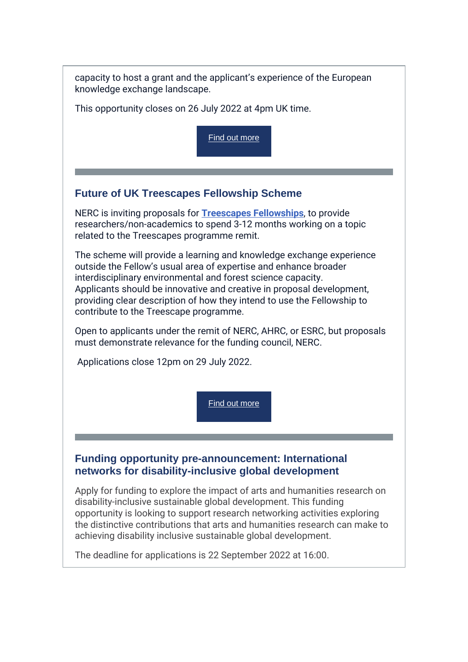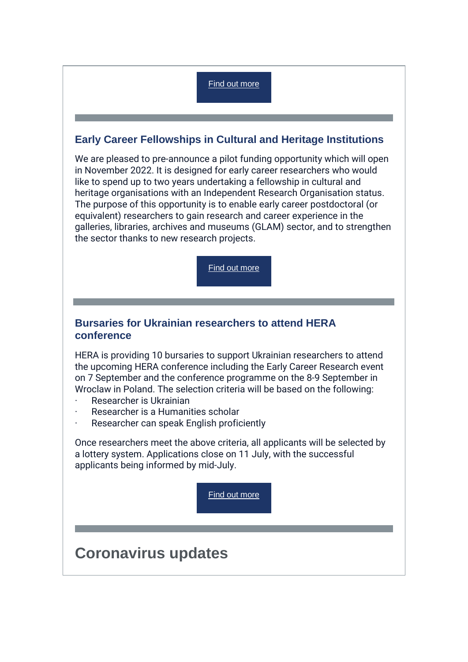### [Find out more](https://r20.rs6.net/tn.jsp?f=001QdRPMWgUZmnYHq9qUXxYYp43shE44s_RcyGgkpG9Bic84FBr90Z-F5aTEWO0-nKKRdxUCNa3axI1sTklgKDC3FPOaBzLgV4oBXqx2OBYUlJRfxuDNdSwsUPazg-qTpXjEADSRj1KIETqdim_RwgY1zreBmE-_unACZLKg_xjTrnndGZjbDgA0EeGpamksewL3hTQG5LTrVpH8um_v7dMR9eS2ETCUKmVG4v2t9sZ4KYsKTye1tbr3biGEhB6Edb4&c=aC9m_QbgC1-Z1SomR5mUzumQVgsDq2gMrJfUYFIdIVcFCviznz5WYQ==&ch=xlgSK_RMWn8lVGqNps0WUvvSALDpc5rem6OPGzqdI9rKywrVuLiTvw==)

### **Early Career Fellowships in Cultural and Heritage Institutions**

We are pleased to pre-announce a pilot funding opportunity which will open in November 2022. It is designed for early career researchers who would like to spend up to two years undertaking a fellowship in cultural and heritage organisations with an Independent Research Organisation status. The purpose of this opportunity is to enable early career postdoctoral (or equivalent) researchers to gain research and career experience in the galleries, libraries, archives and museums (GLAM) sector, and to strengthen the sector thanks to new research projects.

[Find out more](https://r20.rs6.net/tn.jsp?f=001QdRPMWgUZmnYHq9qUXxYYp43shE44s_RcyGgkpG9Bic84FBr90Z-F5aTEWO0-nKKqELb7ArPhq77AInInJSzThgQBZ9OsPfVL71IMxlUZZxeR7gj_JHc6dA8s436b3nP0-1om-9TDwSrg074oYnR73fkZJeYE_i0tOHL6oibnTAeFPFRKIi2aP4UarIPRHTy8gwBHzLdaPza_dzgDX_jP-4q0-wE8bAJ-MBZcG8RX4aM3_3rvFruXg==&c=aC9m_QbgC1-Z1SomR5mUzumQVgsDq2gMrJfUYFIdIVcFCviznz5WYQ==&ch=xlgSK_RMWn8lVGqNps0WUvvSALDpc5rem6OPGzqdI9rKywrVuLiTvw==)

### **Bursaries for Ukrainian researchers to attend HERA conference**

HERA is providing 10 bursaries to support Ukrainian researchers to attend the upcoming HERA conference including the Early Career Research event on 7 September and the conference programme on the 8-9 September in Wroclaw in Poland. The selection criteria will be based on the following:

- Researcher is Ukrainian
- Researcher is a Humanities scholar
- Researcher can speak English proficiently

Once researchers meet the above criteria, all applicants will be selected by a lottery system. Applications close on 11 July, with the successful applicants being informed by mid-July.

[Find out more](https://r20.rs6.net/tn.jsp?f=001QdRPMWgUZmnYHq9qUXxYYp43shE44s_RcyGgkpG9Bic84FBr90Z-F5aTEWO0-nKK0SDitBqsuFfS_OeklmGeXorIB1hEhe3dvrckQqLJvzeDGpyHI_e9WlvANeI__UhYFdWJxpb6p0ZMV7I-rcLxBs7bcN9PtoYFXME0ACY-ODJA_fwPibZeHj15UW1ticdc3vGO7iwj3fNDtdeopGzsklEphwnr0z96QJn79zUOwpsYggIE-w3Ybw==&c=aC9m_QbgC1-Z1SomR5mUzumQVgsDq2gMrJfUYFIdIVcFCviznz5WYQ==&ch=xlgSK_RMWn8lVGqNps0WUvvSALDpc5rem6OPGzqdI9rKywrVuLiTvw==)

# **Coronavirus updates**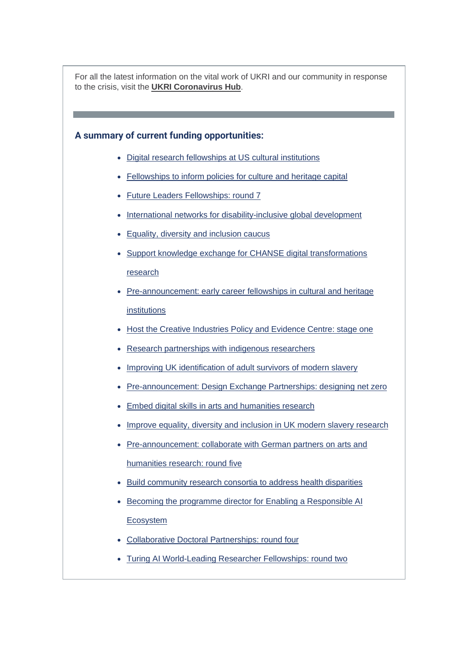For all the latest information on the vital work of UKRI and our community in response to the crisis, visit the **[UKRI Coronavirus Hub](https://r20.rs6.net/tn.jsp?f=001QdRPMWgUZmnYHq9qUXxYYp43shE44s_RcyGgkpG9Bic84FBr90Z-F5BWrYaNHCJ70G2Zla1q361XyB75QUtJIPYU5MfU5ECiM97O6CAXUXfBYq9-ksSvrHWD-da7OXcmNGS69YzPpMBaPX62s095XMRwPItf1Xel-B3j9FRaU08=&c=aC9m_QbgC1-Z1SomR5mUzumQVgsDq2gMrJfUYFIdIVcFCviznz5WYQ==&ch=xlgSK_RMWn8lVGqNps0WUvvSALDpc5rem6OPGzqdI9rKywrVuLiTvw==)**.

# **A summary of current funding opportunities:**

- [Digital research fellowships at US cultural institutions](https://r20.rs6.net/tn.jsp?f=001QdRPMWgUZmnYHq9qUXxYYp43shE44s_RcyGgkpG9Bic84FBr90Z-F5aTEWO0-nKKsJdOXLqwck4TdC7g5lDSGCIFoNcBXOpOIlJG4qP-txJ7SU1Wrfpv3298fApoD8NT8gO61GDphsND2bG239K6vNutjg8GoJpd1mmDM-E0Cd2fbQIr9mYBRyRqj26k1w4xVPkYSx6CZMXz4gjzUv7pLJ3lzZv09vQ1NmSEfioq-Co=&c=aC9m_QbgC1-Z1SomR5mUzumQVgsDq2gMrJfUYFIdIVcFCviznz5WYQ==&ch=xlgSK_RMWn8lVGqNps0WUvvSALDpc5rem6OPGzqdI9rKywrVuLiTvw==)
- [Fellowships to inform policies for culture and heritage capital](https://r20.rs6.net/tn.jsp?f=001QdRPMWgUZmnYHq9qUXxYYp43shE44s_RcyGgkpG9Bic84FBr90Z-F5aTEWO0-nKKE089HenIc09O9sWIhpGmcVgi_kbDjiqcb_7Ksx0WajXtuic7nrgiOyvo3iian1R3O8QwZjgUvQWqwFFcRbsa269AC3lGRDq2YYepZzhkIUM5wcXgB9D_7u6ofvjxA7WHzX8w73q1syuHh__48wO-NRRR5u-b6EwZewZXUOgtG_YHdAKwJS2W9A==&c=aC9m_QbgC1-Z1SomR5mUzumQVgsDq2gMrJfUYFIdIVcFCviznz5WYQ==&ch=xlgSK_RMWn8lVGqNps0WUvvSALDpc5rem6OPGzqdI9rKywrVuLiTvw==)
- [Future Leaders Fellowships: round 7](https://r20.rs6.net/tn.jsp?f=001QdRPMWgUZmnYHq9qUXxYYp43shE44s_RcyGgkpG9Bic84FBr90Z-F5aTEWO0-nKK7J98jBYAX70W4_FbRB5Un7o5v43I_HcUWzLyxX7zR6dLI6EFzp9UTR7MxmZTHa5HUf8ijTKt9OG5cZBa_r-zOnD1A4RT3wq9qcTW8NF6NKFp1BXXyX-pgjkhHIbCghdz2zv7VcIntsxUxjEfgnBqiQ==&c=aC9m_QbgC1-Z1SomR5mUzumQVgsDq2gMrJfUYFIdIVcFCviznz5WYQ==&ch=xlgSK_RMWn8lVGqNps0WUvvSALDpc5rem6OPGzqdI9rKywrVuLiTvw==)
- [International networks for disability-inclusive global development](https://r20.rs6.net/tn.jsp?f=001QdRPMWgUZmnYHq9qUXxYYp43shE44s_RcyGgkpG9Bic84FBr90Z-F5aTEWO0-nKKRdxUCNa3axI1sTklgKDC3FPOaBzLgV4oBXqx2OBYUlJRfxuDNdSwsUPazg-qTpXjEADSRj1KIETqdim_RwgY1zreBmE-_unACZLKg_xjTrnndGZjbDgA0EeGpamksewL3hTQG5LTrVpH8um_v7dMR9eS2ETCUKmVG4v2t9sZ4KYsKTye1tbr3biGEhB6Edb4&c=aC9m_QbgC1-Z1SomR5mUzumQVgsDq2gMrJfUYFIdIVcFCviznz5WYQ==&ch=xlgSK_RMWn8lVGqNps0WUvvSALDpc5rem6OPGzqdI9rKywrVuLiTvw==)
- [Equality, diversity and inclusion caucus](https://r20.rs6.net/tn.jsp?f=001QdRPMWgUZmnYHq9qUXxYYp43shE44s_RcyGgkpG9Bic84FBr90Z-F5aTEWO0-nKKgXQBvIt6gCcWMKc_3fS1_56Db54mGyk7hkjbIIryy_dgeKOVyDUQuL13uSK7pVswLPlz_iNZdKuXoULYjIM_RqaJAjTzx9wSNKbFvl0UCygF_wRzCrBQ4XdjmJH9lwsdxf6TubGGOqG-BX8JImSEPw==&c=aC9m_QbgC1-Z1SomR5mUzumQVgsDq2gMrJfUYFIdIVcFCviznz5WYQ==&ch=xlgSK_RMWn8lVGqNps0WUvvSALDpc5rem6OPGzqdI9rKywrVuLiTvw==)
- [Support knowledge exchange for CHANSE digital transformations](https://r20.rs6.net/tn.jsp?f=001QdRPMWgUZmnYHq9qUXxYYp43shE44s_RcyGgkpG9Bic84FBr90Z-F5aTEWO0-nKKdBeaDlk-ehZuCx7yUyt08VnKVriHAZDmKN-AOxAckuOPhqE8CHONDw8iaOJcBQbmD4bW9Tcffdp5HI7PEOTa821CTpFRUm1teObdeOKqTCHF8D8uf_ZsWThgEIuqtA4gK_bxjnZ16Bmbt-6CVl8qBso4d5Kqj2k4nzM4_hjWstj3fBzFa2pVl_MaTjkFhhte&c=aC9m_QbgC1-Z1SomR5mUzumQVgsDq2gMrJfUYFIdIVcFCviznz5WYQ==&ch=xlgSK_RMWn8lVGqNps0WUvvSALDpc5rem6OPGzqdI9rKywrVuLiTvw==)  [research](https://r20.rs6.net/tn.jsp?f=001QdRPMWgUZmnYHq9qUXxYYp43shE44s_RcyGgkpG9Bic84FBr90Z-F5aTEWO0-nKKdBeaDlk-ehZuCx7yUyt08VnKVriHAZDmKN-AOxAckuOPhqE8CHONDw8iaOJcBQbmD4bW9Tcffdp5HI7PEOTa821CTpFRUm1teObdeOKqTCHF8D8uf_ZsWThgEIuqtA4gK_bxjnZ16Bmbt-6CVl8qBso4d5Kqj2k4nzM4_hjWstj3fBzFa2pVl_MaTjkFhhte&c=aC9m_QbgC1-Z1SomR5mUzumQVgsDq2gMrJfUYFIdIVcFCviznz5WYQ==&ch=xlgSK_RMWn8lVGqNps0WUvvSALDpc5rem6OPGzqdI9rKywrVuLiTvw==)
- [Pre-announcement: early career fellowships in cultural and heritage](https://r20.rs6.net/tn.jsp?f=001QdRPMWgUZmnYHq9qUXxYYp43shE44s_RcyGgkpG9Bic84FBr90Z-F5aTEWO0-nKKqELb7ArPhq77AInInJSzThgQBZ9OsPfVL71IMxlUZZxeR7gj_JHc6dA8s436b3nP0-1om-9TDwSrg074oYnR73fkZJeYE_i0tOHL6oibnTAeFPFRKIi2aP4UarIPRHTy8gwBHzLdaPza_dzgDX_jP-4q0-wE8bAJ-MBZcG8RX4aM3_3rvFruXg==&c=aC9m_QbgC1-Z1SomR5mUzumQVgsDq2gMrJfUYFIdIVcFCviznz5WYQ==&ch=xlgSK_RMWn8lVGqNps0WUvvSALDpc5rem6OPGzqdI9rKywrVuLiTvw==)  [institutions](https://r20.rs6.net/tn.jsp?f=001QdRPMWgUZmnYHq9qUXxYYp43shE44s_RcyGgkpG9Bic84FBr90Z-F5aTEWO0-nKKqELb7ArPhq77AInInJSzThgQBZ9OsPfVL71IMxlUZZxeR7gj_JHc6dA8s436b3nP0-1om-9TDwSrg074oYnR73fkZJeYE_i0tOHL6oibnTAeFPFRKIi2aP4UarIPRHTy8gwBHzLdaPza_dzgDX_jP-4q0-wE8bAJ-MBZcG8RX4aM3_3rvFruXg==&c=aC9m_QbgC1-Z1SomR5mUzumQVgsDq2gMrJfUYFIdIVcFCviznz5WYQ==&ch=xlgSK_RMWn8lVGqNps0WUvvSALDpc5rem6OPGzqdI9rKywrVuLiTvw==)
- [Host the Creative Industries Policy and Evidence Centre: stage one](https://r20.rs6.net/tn.jsp?f=001QdRPMWgUZmnYHq9qUXxYYp43shE44s_RcyGgkpG9Bic84FBr90Z-F5aTEWO0-nKKe1gLKov1Ali0dNQKiVBC0IPUGADJOk0AelCCd-5xebTI_8sR67KJhpQi3OG7rHZSI-Cy_j30jQ-Y8YiN-8UtJMD0ElBgxjnKouYBvIH_Ow-Yh9B9dwigxaXy3XyhNhFn30_kE4pSiDC4fA4FMqqsu3rnL8Ce7Zr9x-If1hWi7JvNAJ9Nah8kCNXWrgtKKtcm&c=aC9m_QbgC1-Z1SomR5mUzumQVgsDq2gMrJfUYFIdIVcFCviznz5WYQ==&ch=xlgSK_RMWn8lVGqNps0WUvvSALDpc5rem6OPGzqdI9rKywrVuLiTvw==)
- [Research partnerships with indigenous researchers](https://r20.rs6.net/tn.jsp?f=001QdRPMWgUZmnYHq9qUXxYYp43shE44s_RcyGgkpG9Bic84FBr90Z-F5aTEWO0-nKK2PhlwCMyEtZrmHv7oARiBCOscI2evP7vgTMmyIl3HaPXX1HQ7yF2YfACw3ajDSdzSOcdpZIPy9kVx9FrBaREyT7-N6AV7niIStbEEPYJFwKw2hHV3A2JnB62nfsaZQe8x_JH4xoqHOlZemQIEbJQ7p3w7y03DK8Lxga__Tm9Pes=&c=aC9m_QbgC1-Z1SomR5mUzumQVgsDq2gMrJfUYFIdIVcFCviznz5WYQ==&ch=xlgSK_RMWn8lVGqNps0WUvvSALDpc5rem6OPGzqdI9rKywrVuLiTvw==)
- [Improving UK identification of adult survivors of modern slavery](https://r20.rs6.net/tn.jsp?f=001QdRPMWgUZmnYHq9qUXxYYp43shE44s_RcyGgkpG9Bic84FBr90Z-F5aTEWO0-nKKn2WRg-MD9bm1Si3Zj5SIlAKpdMDcemEuiEOILYr48N9i-DDb3A8I2a8LyV0aystmuBLKGk20AZtu9yYbYQz-16pIfoaHBHYKdtTt1e_FRtk0EoCX-viAI8AarVe-ODWHpTFArbfqLWA883zlKP4jf70fUFtq8d_TA72UqACpIbEe-jIM4-2gQA==&c=aC9m_QbgC1-Z1SomR5mUzumQVgsDq2gMrJfUYFIdIVcFCviznz5WYQ==&ch=xlgSK_RMWn8lVGqNps0WUvvSALDpc5rem6OPGzqdI9rKywrVuLiTvw==)
- [Pre-announcement: Design Exchange Partnerships: designing net zero](https://r20.rs6.net/tn.jsp?f=001QdRPMWgUZmnYHq9qUXxYYp43shE44s_RcyGgkpG9Bic84FBr90Z-F_i7RbenMMuXhrDRDuxjhrPL0_MBhrM7A4-R0P2Dw-d4__YRu9VzpnMVA2BKQJfbqCvYfIwgfCzUzjVLJeoPfFpG6fPxNdMDRExkSi61MMF4qlWsVolQtHc0JiiqVIWigt_DL3k1qYl0wAiafMBTmCVLZcNf_jA-qdUkhXZA3bD-&c=aC9m_QbgC1-Z1SomR5mUzumQVgsDq2gMrJfUYFIdIVcFCviznz5WYQ==&ch=xlgSK_RMWn8lVGqNps0WUvvSALDpc5rem6OPGzqdI9rKywrVuLiTvw==)
- [Embed digital skills in arts and humanities research](https://r20.rs6.net/tn.jsp?f=001QdRPMWgUZmnYHq9qUXxYYp43shE44s_RcyGgkpG9Bic84FBr90Z-F_i7RbenMMuXD7kUQ_yvVTd5zY6CQynuWrUEr1BcMoftGta-yjuRKoQ7UzwRYhIpJkazYbZEbc_LzFfOGYCe1tXRR6BKBrz7t5Jeb7UW9C83u7RpdC8Op2UF00nWaD0O7g4xHSR9KXC0HGJN0dKXn8tt9foSfl93yIXdkMQvOA8TO4D_hDWUKHM=&c=aC9m_QbgC1-Z1SomR5mUzumQVgsDq2gMrJfUYFIdIVcFCviznz5WYQ==&ch=xlgSK_RMWn8lVGqNps0WUvvSALDpc5rem6OPGzqdI9rKywrVuLiTvw==)
- [Improve equality, diversity and inclusion in UK modern slavery research](https://r20.rs6.net/tn.jsp?f=001QdRPMWgUZmnYHq9qUXxYYp43shE44s_RcyGgkpG9Bic84FBr90Z-F_i7RbenMMuXUR0tWrayVafITUvIyVKcippTX8D3MWHMNqsknDC4j0KAPiArVGr54y-Lo2yc9FqUFIhnAjyv-vNKkcfSZ_JLKMOU05Ggsfelgz41RlVplMzVPZV63k-_YshRhjrBssYzhOiJOPuZqYMi60wXQjjualOeGSKuCEg0xEBC8GwMPT2PO-CTUlXPibytKGvVIGCB&c=aC9m_QbgC1-Z1SomR5mUzumQVgsDq2gMrJfUYFIdIVcFCviznz5WYQ==&ch=xlgSK_RMWn8lVGqNps0WUvvSALDpc5rem6OPGzqdI9rKywrVuLiTvw==)
- [Pre-announcement: collaborate with German partners on arts and](https://r20.rs6.net/tn.jsp?f=001QdRPMWgUZmnYHq9qUXxYYp43shE44s_RcyGgkpG9Bic84FBr90Z-F_i7RbenMMuXAr8JGXDYz1KN6Dhzgso9lw20HGGLAm31Mkqcme4mo_9DGNB-Yqb0Im54kb38rkS4vCyOYIWz2ommqz2L3zM5p-8fyeqKxsLaLfJjjc0GYZ5JRXKCmip5LK4zL4rWJEfWNNKgnPCld6WHo2o-0usoAnr6npaJZaV-wnuLVCJdC96hbs22jVrenfgFIFj93rB1tqji5jZDDSU=&c=aC9m_QbgC1-Z1SomR5mUzumQVgsDq2gMrJfUYFIdIVcFCviznz5WYQ==&ch=xlgSK_RMWn8lVGqNps0WUvvSALDpc5rem6OPGzqdI9rKywrVuLiTvw==)  [humanities research: round five](https://r20.rs6.net/tn.jsp?f=001QdRPMWgUZmnYHq9qUXxYYp43shE44s_RcyGgkpG9Bic84FBr90Z-F_i7RbenMMuXAr8JGXDYz1KN6Dhzgso9lw20HGGLAm31Mkqcme4mo_9DGNB-Yqb0Im54kb38rkS4vCyOYIWz2ommqz2L3zM5p-8fyeqKxsLaLfJjjc0GYZ5JRXKCmip5LK4zL4rWJEfWNNKgnPCld6WHo2o-0usoAnr6npaJZaV-wnuLVCJdC96hbs22jVrenfgFIFj93rB1tqji5jZDDSU=&c=aC9m_QbgC1-Z1SomR5mUzumQVgsDq2gMrJfUYFIdIVcFCviznz5WYQ==&ch=xlgSK_RMWn8lVGqNps0WUvvSALDpc5rem6OPGzqdI9rKywrVuLiTvw==)
- [Build community research consortia to address health disparities](https://r20.rs6.net/tn.jsp?f=001QdRPMWgUZmnYHq9qUXxYYp43shE44s_RcyGgkpG9Bic84FBr90Z-F_i7RbenMMuXd38EaFOZtC8l1F40eh9qspAPCPbke2mbCCThxXRIrVpQivlXW4qVxVEH9xV7D0e3WV0JH3ZnU7VwiNq6wHwxDS00d3ne7Qk4aLVFmn5RVmWi6bOOsYW3Z_NqiChuVAACZl3nr5qaycbdydyh2X50JvqN4GvH8FyR6h1ohPeP7-yjL6vjS_AVVQ==&c=aC9m_QbgC1-Z1SomR5mUzumQVgsDq2gMrJfUYFIdIVcFCviznz5WYQ==&ch=xlgSK_RMWn8lVGqNps0WUvvSALDpc5rem6OPGzqdI9rKywrVuLiTvw==)
- [Becoming the programme director for Enabling a Responsible AI](https://r20.rs6.net/tn.jsp?f=001QdRPMWgUZmnYHq9qUXxYYp43shE44s_RcyGgkpG9Bic84FBr90Z-F_i7RbenMMuX5e6t9RmftcOXPXseiXi4DHFkSzQgujh_T2NY93DUVK0jf5XiqN9lOBxRjZP_1Hn4yRznRiSBjk4l3OuN4ULE8gRjy5ntK0IkVAppOYiJMVZncxlLHLHGVWTxAYjSl5a7NC50mEtRE15QE5k56WdtGjghzr06CsOyCIhd9qANR_4=&c=aC9m_QbgC1-Z1SomR5mUzumQVgsDq2gMrJfUYFIdIVcFCviznz5WYQ==&ch=xlgSK_RMWn8lVGqNps0WUvvSALDpc5rem6OPGzqdI9rKywrVuLiTvw==)  **[Ecosystem](https://r20.rs6.net/tn.jsp?f=001QdRPMWgUZmnYHq9qUXxYYp43shE44s_RcyGgkpG9Bic84FBr90Z-F_i7RbenMMuX5e6t9RmftcOXPXseiXi4DHFkSzQgujh_T2NY93DUVK0jf5XiqN9lOBxRjZP_1Hn4yRznRiSBjk4l3OuN4ULE8gRjy5ntK0IkVAppOYiJMVZncxlLHLHGVWTxAYjSl5a7NC50mEtRE15QE5k56WdtGjghzr06CsOyCIhd9qANR_4=&c=aC9m_QbgC1-Z1SomR5mUzumQVgsDq2gMrJfUYFIdIVcFCviznz5WYQ==&ch=xlgSK_RMWn8lVGqNps0WUvvSALDpc5rem6OPGzqdI9rKywrVuLiTvw==)**
- [Collaborative Doctoral Partnerships: round four](https://r20.rs6.net/tn.jsp?f=001QdRPMWgUZmnYHq9qUXxYYp43shE44s_RcyGgkpG9Bic84FBr90Z-F5-fzhu8d4yHsKYIdp88_sotgl632N0vEYd91ez2U1KZ71yLnWigeOrX9xDYvDdOrQFrPeVVq4LZLXAC8QiIRsK1mR3bm2GnUpJ8G5OeMtbmJocGytC6TNW4vBjtOSq8gEATvD_gco58FpZzOBa7T-EP0A27A8kXKXQnhzGyAFSA&c=aC9m_QbgC1-Z1SomR5mUzumQVgsDq2gMrJfUYFIdIVcFCviznz5WYQ==&ch=xlgSK_RMWn8lVGqNps0WUvvSALDpc5rem6OPGzqdI9rKywrVuLiTvw==)
- [Turing AI World-Leading Researcher Fellowships: round two](https://r20.rs6.net/tn.jsp?f=001QdRPMWgUZmnYHq9qUXxYYp43shE44s_RcyGgkpG9Bic84FBr90Z-F5-fzhu8d4yHqJ_aOWrufMDFkbp9_-anNEfwLgvE4FPMR0rcz5Dg8qy1KwsQM-UMBOCLTj_nPV3RBkalJ9prx2FmCLR3uMS2E9J6ypKACApkwb1iaJrDnW_TidDEi7qukCIaUWT6xG-Ca4ZPSj6FjAhXiQENwIIzrp9_1U5z5A4_TRuc_xVvBf0=&c=aC9m_QbgC1-Z1SomR5mUzumQVgsDq2gMrJfUYFIdIVcFCviznz5WYQ==&ch=xlgSK_RMWn8lVGqNps0WUvvSALDpc5rem6OPGzqdI9rKywrVuLiTvw==)